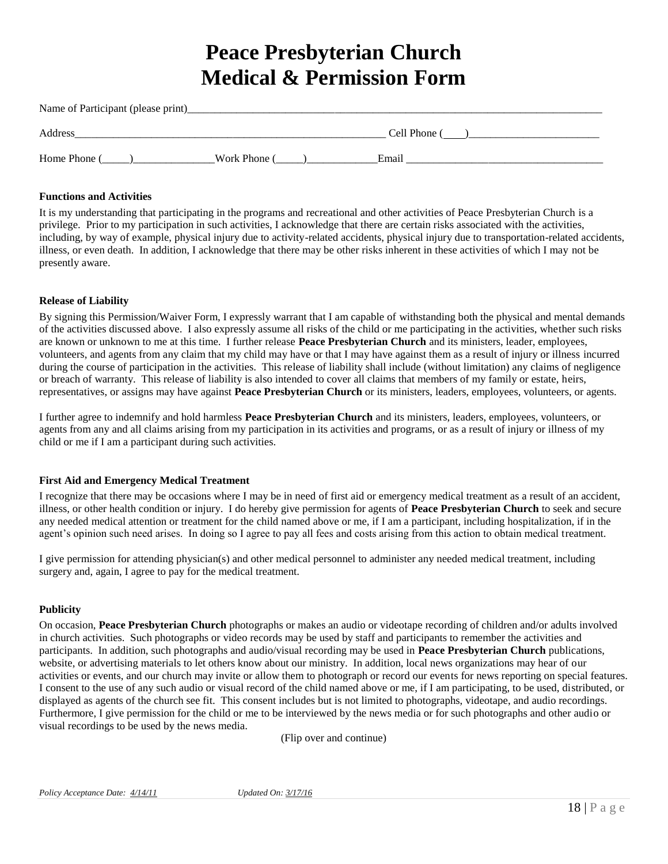# **Peace Presbyterian Church Medical & Permission Form**

| Name of Participant (please print) |              |              |  |  |
|------------------------------------|--------------|--------------|--|--|
| Address                            |              | Cell Phone ( |  |  |
| Home Phone (                       | Work Phone ( | Email        |  |  |

## **Functions and Activities**

It is my understanding that participating in the programs and recreational and other activities of Peace Presbyterian Church is a privilege. Prior to my participation in such activities, I acknowledge that there are certain risks associated with the activities, including, by way of example, physical injury due to activity-related accidents, physical injury due to transportation-related accidents, illness, or even death. In addition, I acknowledge that there may be other risks inherent in these activities of which I may not be presently aware.

## **Release of Liability**

By signing this Permission/Waiver Form, I expressly warrant that I am capable of withstanding both the physical and mental demands of the activities discussed above. I also expressly assume all risks of the child or me participating in the activities, whether such risks are known or unknown to me at this time. I further release **Peace Presbyterian Church** and its ministers, leader, employees, volunteers, and agents from any claim that my child may have or that I may have against them as a result of injury or illness incurred during the course of participation in the activities. This release of liability shall include (without limitation) any claims of negligence or breach of warranty. This release of liability is also intended to cover all claims that members of my family or estate, heirs, representatives, or assigns may have against **Peace Presbyterian Church** or its ministers, leaders, employees, volunteers, or agents.

I further agree to indemnify and hold harmless **Peace Presbyterian Church** and its ministers, leaders, employees, volunteers, or agents from any and all claims arising from my participation in its activities and programs, or as a result of injury or illness of my child or me if I am a participant during such activities.

### **First Aid and Emergency Medical Treatment**

I recognize that there may be occasions where I may be in need of first aid or emergency medical treatment as a result of an accident, illness, or other health condition or injury. I do hereby give permission for agents of **Peace Presbyterian Church** to seek and secure any needed medical attention or treatment for the child named above or me, if I am a participant, including hospitalization, if in the agent's opinion such need arises. In doing so I agree to pay all fees and costs arising from this action to obtain medical treatment.

I give permission for attending physician(s) and other medical personnel to administer any needed medical treatment, including surgery and, again, I agree to pay for the medical treatment.

### **Publicity**

On occasion, **Peace Presbyterian Church** photographs or makes an audio or videotape recording of children and/or adults involved in church activities. Such photographs or video records may be used by staff and participants to remember the activities and participants. In addition, such photographs and audio/visual recording may be used in **Peace Presbyterian Church** publications, website, or advertising materials to let others know about our ministry. In addition, local news organizations may hear of our activities or events, and our church may invite or allow them to photograph or record our events for news reporting on special features. I consent to the use of any such audio or visual record of the child named above or me, if I am participating, to be used, distributed, or displayed as agents of the church see fit. This consent includes but is not limited to photographs, videotape, and audio recordings. Furthermore, I give permission for the child or me to be interviewed by the news media or for such photographs and other audio or visual recordings to be used by the news media.

(Flip over and continue)